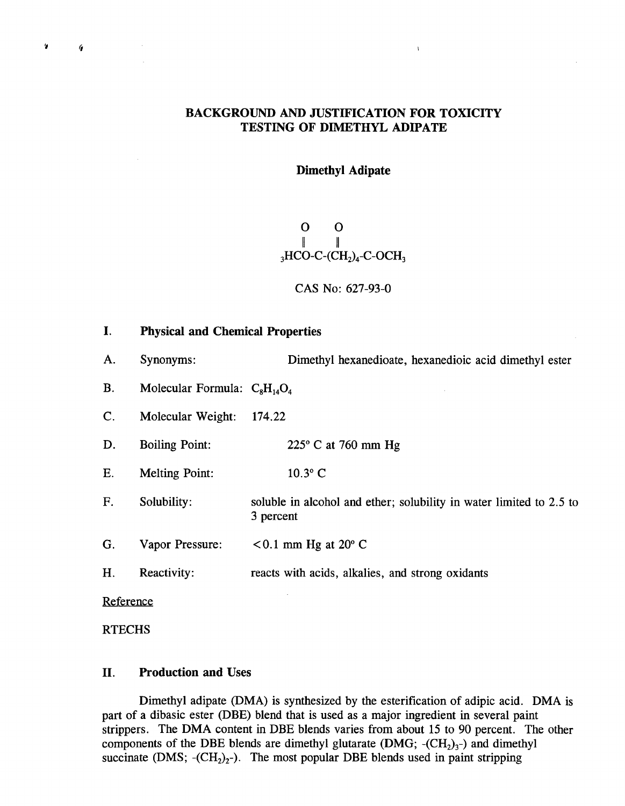# **BACKGROUND AND JUSTIFICATION** FOR TOXICITY **TESTING OF DIMETHYL ADIPATE**

 $\mathbf{r}$ 

## Dimethyl Adipate

 $\mathbf{O}$  $\mathbf{O}$  $\parallel$  $3HCO-C-(CH<sub>2</sub>)<sub>4</sub>-C-OCH<sub>3</sub>$ 

#### **CAS** No : **627-93-0**

 $\mathbf{I}$ . Physical and Chemical Properties A. Synonyms: Dimethyl hexanedioate, hexanedioic acid dimethyl ester B. Molecular Formula:  $C_8H_{14}O_4$ **C.** Molecular Weight: 174.22 **D .** Boiling Point: **225' C** at **760** mm. **Hg E.** Melting Point: **10.30 C**  F. Solubility : soluble in alcohol and ether; solubility in water limited to **2 .5** to **<sup>3</sup>**percent G. Vapor Pressure:  $< 0.1$  mm Hg at  $20^{\circ}$  C H. Reactivity: reacts with acids, alkalies, and strong oxidants Reference

RTECHS

**10 (I** 

## II. Production and Uses

Dimethyl adipate (DMA) is synthesized **by** the esterification of adipic acid . DMA is part of a dibasic ester (DBE) blend that is used as a major ingredient in several paint strippers . The DMA content in DBE blends varies from about **15** to **90** percent. The other components of the DBE blends are dimethyl glutarate  $(DMG; -(CH<sub>2</sub>)<sub>3</sub>$ -) and dimethyl succinate  $(DMS; -(CH<sub>2</sub>)<sub>2</sub>)$ . The most popular DBE blends used in paint stripping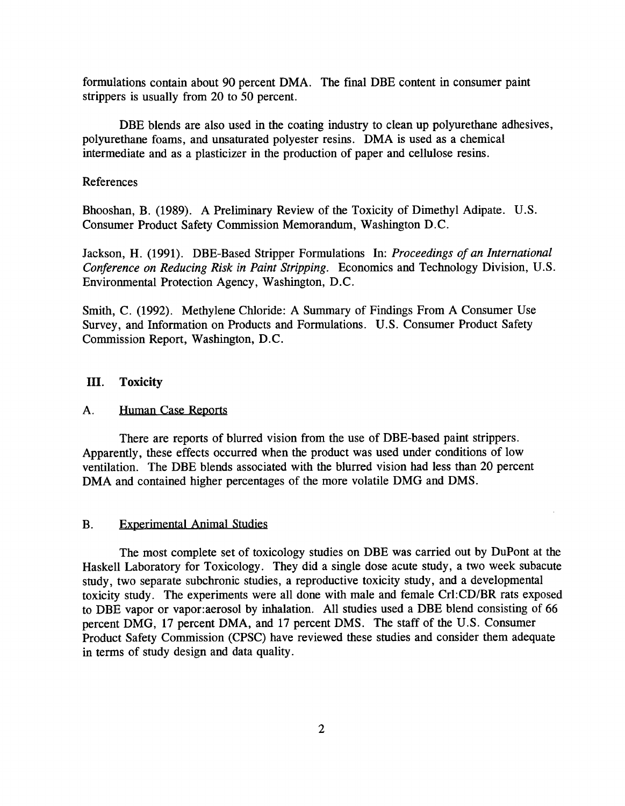formulations contain about 90 percent DMA. The final DBE content in consumer paint strippers is usually from 20 to 50 percent.

DBE blends are also used in the coating industry to clean up polyurethane adhesives, polyurethane foams, and unsaturated polyester resins. DMA is used as a chemical intermediate and as a plasticizer in the production of paper and cellulose resins .

#### References

Bhooshan, B. (1989). A Preliminary Review of the Toxicity of Dimethyl Adipate. U.S. Consumer Product Safety Commission Memorandum, Washington D.C .

Jackson, H. (1991). DBE-Based Stripper Formulations In: Proceedings of an International Conference on Reducing Risk in Paint Stripping. Economics and Technology Division, U.S. Environmental Protection Agency, Washington, D.C .

Smith, C. (1992). Methylene Chloride: A Summary of Findings From A Consumer Use Survey, and Information on Products and Formulations. U.S. Consumer Product Safety Commission Report, Washington, D.C.

### III. Toxicity

#### A. Human Case Reports

There are reports of blurred vision from the use of DBE-based paint strippers . Apparently, these effects occurred when the product was used under conditions of low ventilation. The DBE blends associated with the blurred vision had less than 20 percent DMA and contained higher percentages of the more volatile DMG and DMS.

#### B. Experimental Animal Studies

The most complete set of toxicology studies on DBE was carried out by DuPont at the Haskell Laboratory for Toxicology. They did a single dose acute study, a two week subacute study, two separate subchronic studies, a reproductive toxicity study, and a developmental toxicity study. The experiments were all done with male and female Crl :CD/BR rats exposed to DBE vapor or vapor:aerosol by inhalation. All studies used a DBE blend consisting of 66 percent DMG, 17 percent DMA, and 17 percent DMS. The staff of the U.S . Consumer Product Safety Commission (CPSC) have reviewed these studies and consider them adequate in terms of study design and data quality.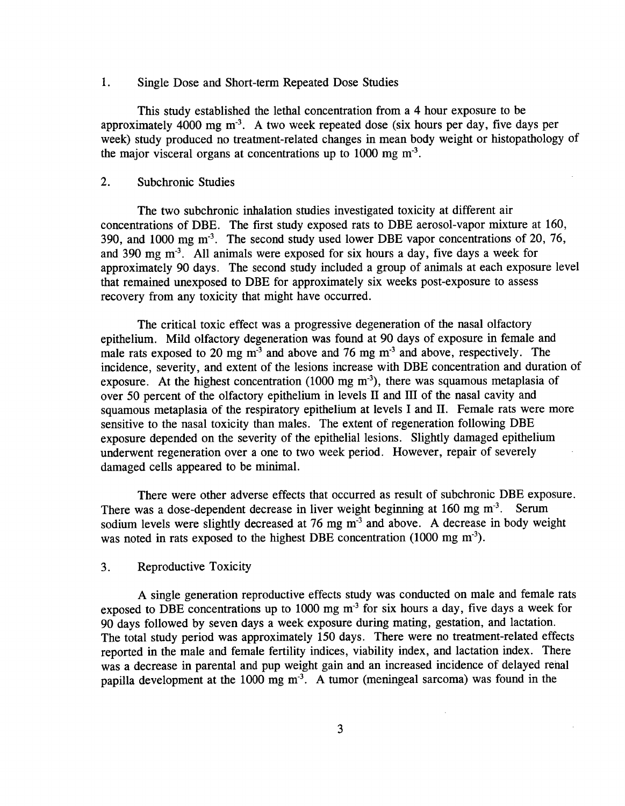#### 1. Single Dose and Short-term Repeated Dose Studies

This study established the lethal concentration from a 4 hour exposure to be approximately 4000 mg m-1 . **A** two week repeated dose (six hours per day, five days per week) study produced no treatment-related changes in mean body weight or histopathology of the major visceral organs at concentrations up to  $1000 \text{ mg m}^3$ .

## 2. Subchronic Studies

The two subchronic inhalation studies investigated toxicity at different air concentrations of DBE . The first study exposed rats to DBE aerosol-vapor mixture at **160,**  390, and 1000 mg m<sup>-3</sup>. The second study used lower DBE vapor concentrations of 20, 76, and 390 mg m<sup>-3</sup>. All animals were exposed for six hours a day, five days a week for approximately 90 days. The second study included a group of animals at each exposure level that remained unexposed to DBE for approximately six weeks post-exposure to assess recovery from any toxicity that might have occurred.

The critical toxic effect was a progressive degeneration of the nasal olfactory epithelium. Mild olfactory degeneration was found at **90** days of exposure in female and male rats exposed to 20 mg m<sup>3</sup> and above and 76 mg m<sup>3</sup> and above, respectively. The incidence, severity, and extent of the lesions increase with DBE concentration and duration of exposure. At the highest concentration (1000 mg m<sup>-3</sup>), there was squamous metaplasia of over **50** percent of the olfactory epithelium in levels II and III of the nasal cavity and squamous metaplasia of the respiratory epithelium at levels I and II. Female rats were more sensitive to the nasal toxicity than males. The extent of regeneration following DBE exposure depended on the severity of the epithelial lesions. Slightly damaged epithelium underwent regeneration over a one to two week period. However, repair of severely damaged cells appeared to be minimal.

There were other adverse effects that occurred as result of subchronic DBE exposure . There was a dose-dependent decrease in liver weight beginning at 160 mg m<sup>-3</sup>. Serum sodium levels were slightly decreased at 76 mg m<sup>-3</sup> and above. A decrease in body weight was noted in rats exposed to the highest DBE concentration (1000 mg m<sup>-3</sup>).

## **3 .** Reproductive Toxicity

**A** single generation reproductive effects study was conducted on male and female rats exposed to DBE concentrations up to **1000** mg m-3 for six hours a day, five days a week for **90** days followed **by** seven days a week exposure during mating, gestation, and lactation . The total study period was approximately 150 days. There were no treatment-related effects reported in the male and female fertility indices, viability index, and lactation index. There was a decrease in parental and pup weight gain and an increased incidence of delayed renal papilla development at the 1000 mg m<sup>-3</sup>. A tumor (meningeal sarcoma) was found in the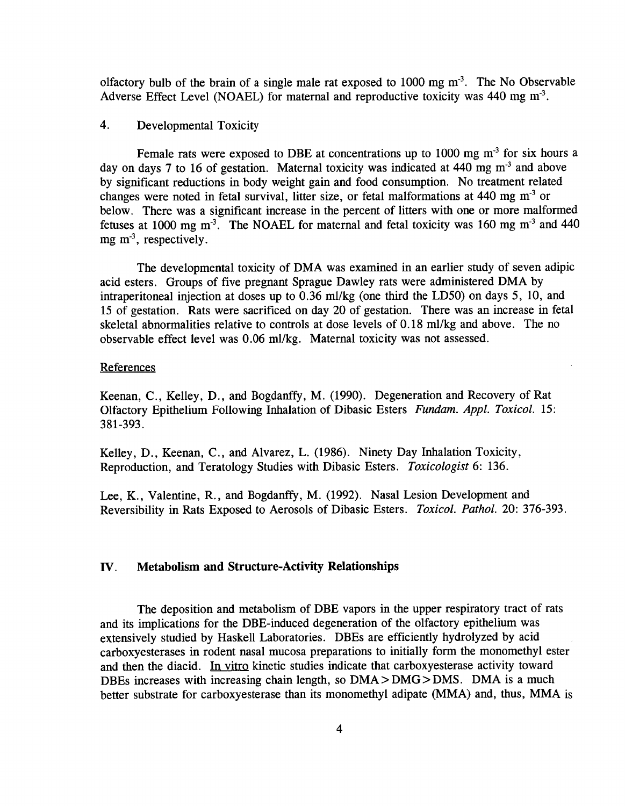olfactory bulb of the brain of a single male rat exposed to **1000** mg m-'. The No Observable Adverse Effect Level **(NOAEL)** for maternal and reproductive toxicity was 440 mg m<sup>-3</sup>.

## 4. Developmental Toxicity

Female rats were exposed to DBE at concentrations up to 1000 mg m<sup>-3</sup> for six hours a day on days 7 to 16 of gestation. Maternal toxicity was indicated at 440 mg m<sup>-3</sup> and above **by** significant reductions in body weight gain and food consumption. No treatment related changes were noted in fetal survival, litter size, or fetal malformations at 440 mg  $m<sup>3</sup>$  or below. There was a significant increase in the percent of litters with one or more malformed fetuses at 1000 mg  $m<sup>3</sup>$ . The NOAEL for maternal and fetal toxicity was 160 mg  $m<sup>-3</sup>$  and 440 mg m<sup>-3</sup>, respectively.

The developmental toxicity of DMA was examined in an earlier study of seven adipic acid esters. Groups of five pregnant Sprague Dawley rats were administered DMA **by**  intraperitoneal injection at doses up to **0 .36** ml/kg (one third the **LD50)** on days **5, 10,** and 15 of gestation. Rats were sacrificed on day 20 of gestation. There was an increase in fetal skeletal abnormalities relative to controls at dose levels of **0. 18 MI/kg** and above . The no observable effect level was **0.06** ml/kg. Maternal toxicity was not assessed .

#### **References**

Keenan, C., Kelley, D., and Bogdanffy, M. (1990). Degeneration and Recovery of Rat Olfactory Epithelium Following Inhalation of Dibasic Esters Fundam. **Appl.** Toxicol . **15 : 381-393 .** 

Kelley, D., Keenan, C., and Alvarez, L. (1986). Ninety Day Inhalation Toxicity, Reproduction, and Teratology Studies with Dibasic Esters . Toxicologist **6 : 136.** 

Lee, K., Valentine, R., and Bogdanffy, M. (1992). Nasal Lesion Development and Reversibility in Rats Exposed to Aerosols of Dibasic Esters. Toxicol. Pathol. 20: 376-393.

## IV. Metabolism and Structure-Activity Relationships

The deposition and metabolism of DBE vapors in the upper respiratory tract of rats and its implications for the DBE-induced degeneration of the olfactory epithelium was extensively studied **by** Haskell Laboratories. DBEs are efficiently hydrolyzed **by** acid carboxyesterases in rodent nasal mucosa preparations to initially form the monomethyl ester and then the diacid. In vitro kinetic studies indicate that carboxyesterase activity toward DBEs increases with increasing chain length, so DMA **> DMG > DMS .** DMA is a much better substrate for carboxyesterase than its monomethyl adipate (MMA) and, thus, MMA is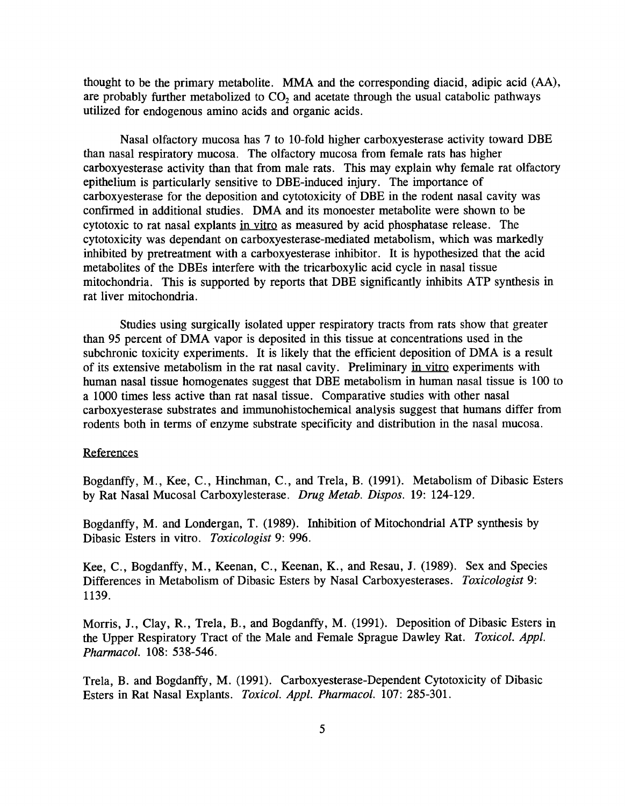thought to be the primary metabolite. MMA and the corresponding diacid, adipic acid (AA), are probably further metabolized to  $CO<sub>2</sub>$  and acetate through the usual catabolic pathways utilized for endogenous amino acids and organic acids .

Nasal olfactory mucosa has 7 to 10-fold higher carboxyesterase activity toward DBE than nasal respiratory mucosa . The olfactory mucosa from female rats has higher carboxyesterase activity than that from male rats. This may explain why female rat olfactory epithelium is particularly sensitive to DBE-induced injury . The importance of carboxyesterase for the deposition and cytotoxicity of DBE in the rodent nasal cavity was confirmed in additional studies. DMA and its monoester metabolite were shown to be cytotoxic to rat nasal explants in vitro as measured **by** acid phosphatase release . The cytotoxicity was dependant on carboxyesterase-mediated metabolism, which was markedly inhibited **by** pretreatment with a carboxyesterase inhibitor. It is hypothesized that the acid metabolites of the DBEs interfere with the tricarboxylic acid cycle in nasal tissue mitochondria. This is supported **by** reports that DBE significantly inhibits ATP synthesis in rat liver mitochondria .

Studies using surgically isolated upper respiratory tracts from rats show that greater than **95** percent of DMA vapor is deposited in this tissue at concentrations used in the subchronic toxicity experiments. It is likely that the efficient deposition of DMA is a result of its extensive metabolism in the rat nasal cavity. Preliminary in vitro experiments with human nasal tissue homogenates suggest that DBE metabolism in human nasal tissue is **100** to a **1000** times less active than rat nasal tissue . Comparative studies with other nasal carboxyesterase substrates and immunohistochemical analysis suggest that humans differ from rodents both in terms of enzyme substrate specificity and distribution in the nasal mucosa .

#### References

Bogdanffy, M ., Kee, **C .,** Hinchman, **C .,** and Trela, B. **(1991).** Metabolism of Dibasic Esters **by** Rat Nasal Mucosal Carboxylesterase . Drug Metab. Dispos. **19:** 124-129 .

Bogdanffy, M. and Londergan, T. (1989). Inhibition of Mitochondrial ATP synthesis by Dibasic Esters in vitro. Toxicologist 9: 996.

Kee, **C .,** Bogdanffy, M ., Keenan, **C.,** Keenan, K., and Resau, **J. (1989) .** Sex and Species Differences in Metabolism of Dibasic Esters **by** Nasal Carboxyesterases . Toxicologist **9 : 1139.** 

Morris, J., Clay, R., Trela, B., and Bogdanffy, M. (1991). Deposition of Dibasic Esters in the Upper Respiratory Tract of the Male and Female Sprague Dawley Rat. Toxicol. Appl. Pharmacol. **108 : 538-546.** 

Trela, B. and Bogdanffy, M. (1991). Carboxyesterase-Dependent Cytotoxicity of Dibasic Esters in Rat Nasal Explants. Toxicol. Appl. Pharmacol. 107: 285-301.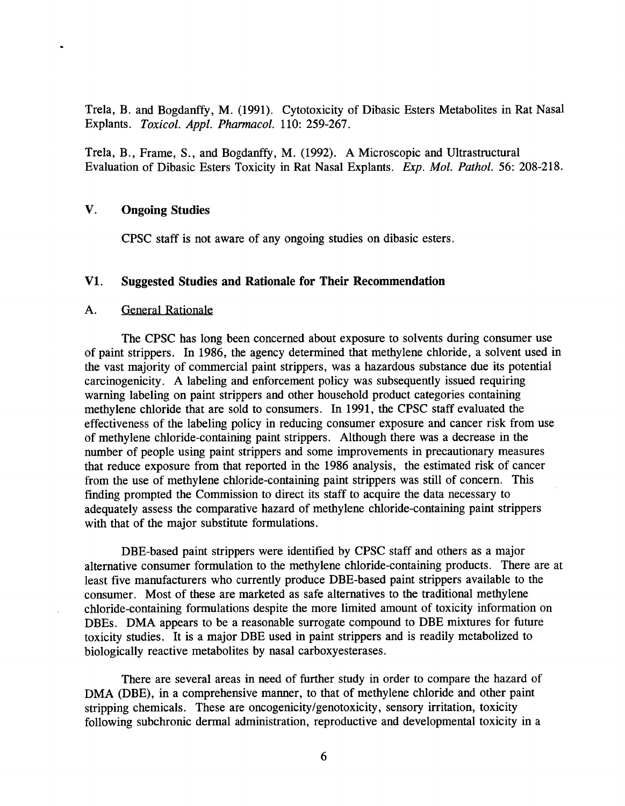Trela, B. and Bogdanffy, M. (1991). Cytotoxicity of Dibasic Esters Metabolites in Rat Nasal Explants. Toxicol . **Appl.** Pharmacol . **110 : 259-267 .** 

Trela, B., Frame, S., and Bogdanffy, M. (1992). A Microscopic and Ultrastructural Evaluation of Dibasic Esters Toxicity in Rat Nasal Explants. Exp. Mol. Pathol. 56: 208-218.

# V. Ongoing Studies

**CPSC** staff is not aware of any ongoing studies on dibasic esters .

#### V1. Suggested Studies and Rationale for Their Recommendation

#### **A.** General Rationale

The **CPSC** has long been concerned about exposure to solvents during consumer use of paint strippers. In 1986, the agency determined that methylene chloride, a solvent used in the vast majority of commercial paint strippers, was a hazardous substance due its potential carcinogenicity . **A** labeling and enforcement policy was subsequently issued requiring warning labeling on paint strippers and other household product categories containing methylene chloride that are sold to consumers . In **1991,** the **CPSC** staff evaluated the effectiveness of the labeling policy in reducing consumer exposure and cancer risk from use of methylene chloride-containing paint strippers . Although there was a decrease in the number of people using paint strippers and some improvements in precautionary measures that reduce exposure from that reported in the **1986** analysis, the estimated risk of cancer from the use of methylene chloride-containing paint strippers was still of concern. This finding prompted the Commission to direct its staff to acquire the data necessary to adequately assess the comparative hazard of methylene chloride-containing paint strippers with that of the major substitute formulations.

DBE-based paint strippers were identified **by CPSC** staff and others as a major alternative consumer formulation to the methylene chloride-containing products. There are at least five manufacturers who currently produce DBE-based paint strippers available to the consumer. Most of these are marketed as safe alternatives to the traditional methylene chloride-containing formulations despite the more limited amount of toxicity information on DBEs. DMA appears to be a reasonable surrogate compound to DBE mixtures for future toxicity studies . It is a major DBE used in paint strippers and is readily metabolized to biologically reactive metabolites **by** nasal carboxyesterases .

There are several areas in need of further study in order to compare the hazard of DMA (DBE), in a comprehensive manner, to that of methylene chloride and other paint stripping chemicals. These are oncogenicity/genotoxicity, sensory irritation, toxicity following subchronic dermal administration, reproductive and developmental toxicity in a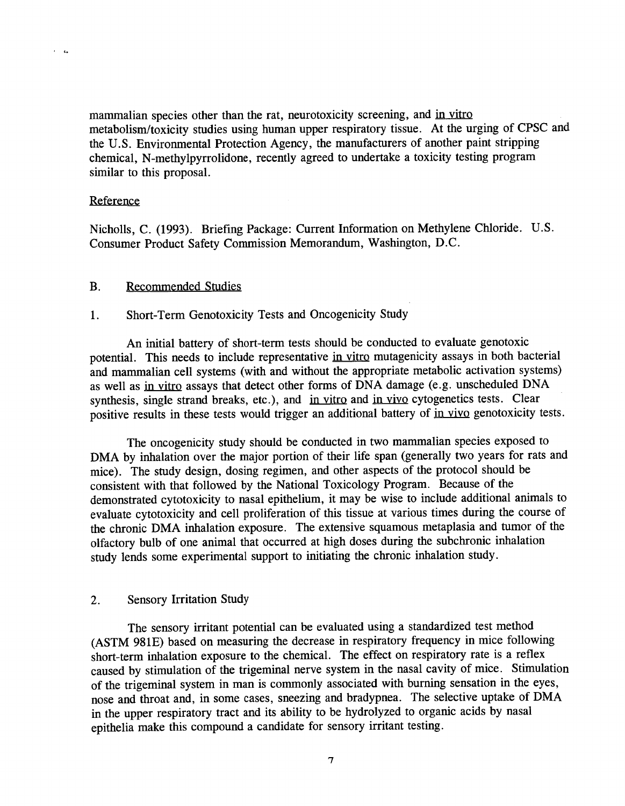mammalian species other than the rat, neurotoxicity screening, and in vitro metabolism/toxicity studies using human upper respiratory tissue . At the urging of **CPSC** and the **U .S.** Environmental Protection Agency, the manufacturers of another paint stripping chemical, N-methylpyrrolidone, recently agreed to undertake a toxicity testing program similar to this proposal.

## **Reference**

 $\mathcal{L}_\mathbf{a}$ 

Nicholls, C. (1993). Briefing Package: Current Information on Methylene Chloride. U.S. Consumer Product Safety Commission Memorandum, Washington, **D.C.** 

## B. Recommended Studies

## **<sup>1</sup> .** Short-Term Genotoxicity Tests and Oncogenicity Study

An initial battery of short-term tests should be conducted to evaluate genotoxic potential. This needs to include representative in vitro mutagenicity assays in both bacterial and mammalian cell systems (with and without the appropriate metabolic activation systems) as well as in vitro assays that detect other forms of **DNA** damage (e .g . unscheduled **DNA**  synthesis, single strand breaks, etc.), and in vitro and in vivo cytogenetics tests. Clear positive results in these tests would trigger an additional battery of in vivo genotoxicity tests.

The oncogenicity study should be conducted in two mammalian species exposed to DMA **by** inhalation over the major portion of their life span (generally two years for rats and mice). The study design, dosing regimen, and other aspects of the protocol should be consistent with that followed **by** the National Toxicology Program . Because of the demonstrated cytotoxicity to nasal epithelium, it may be wise to include additional animals to evaluate cytotoxicity and cell proliferation of this tissue at various times during the course of the chronic DMA inhalation exposure. The extensive squamous metaplasia and tumor of the olfactory bulb of one animal that occurred at high doses during the subehronic inhalation study lends some experimental support to initiating the chronic inhalation study .

## 2. Sensory Irritation Study

The sensory irritant potential can be evaluated using a standardized test method **(ASTM 981E)** based on measuring the decrease in respiratory frequency in mice following short-term inhalation exposure to the chemical. The effect on respiratory rate is a reflex caused **by** stimulation of the trigeminal nerve system in the nasal cavity of mice . Stimulation of the trigeminal system in man is commonly associated with burning sensation in the eyes, nose and throat and, in some cases, sneezing and bradypnea. The selective uptake of DMA in the upper respiratory tract and its ability to be hydrolyzed to organic acids **by** nasal epithelia make this compound a candidate for sensory irritant testing .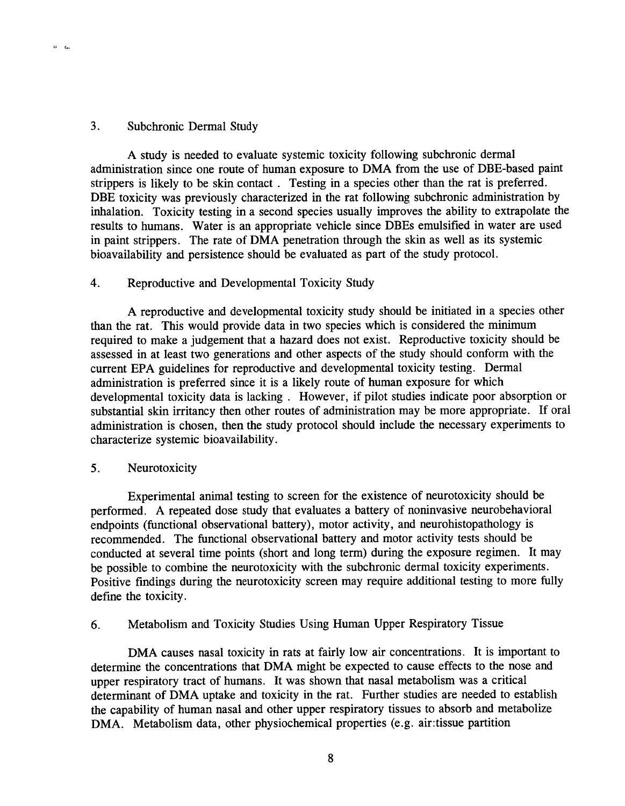## **<sup>3</sup> .** Subchronic Dermal Study

 $\alpha = \alpha$ 

**A** study is needed to evaluate systemic toxicity following subchronic dermal administration since one route of human exposure to DMA from the use of DBE-based paint strippers is likely to be skin contact **.** Testing in a species other than the rat is preferred . DBE toxicity was previously characterized in the rat following subchronic administration **by**  inhalation. Toxicity testing in a second species usually improves the ability to extrapolate the results to humans. Water is an appropriate vehicle since DBEs emulsified in water are used in paint strippers. The rate of DMA penetration through the skin as well as its systemic bioavailability and persistence should be evaluated as part of the study protocol .

# 4. Reproductive and Developmental Toxicity Study

**A** reproductive and developmental toxicity study should be initiated in a species other than the rat. This would provide data in two species which is considered the minimum required to make a judgement that a hazard does not exist. Reproductive toxicity should be assessed in at least two generations and other aspects of the study should conform with the current **EPA** guidelines for reproductive and developmental toxicity testing . Dermal administration is preferred since it is a likely route of human exposure for which developmental toxicity data is lacking **.** However, if pilot studies indicate poor absorption or substantial skin irritancy then other routes of administration may be more appropriate. If oral administration is chosen, then the study protocol should include the necessary experiments to characterize systemic bioavailability .

# **5 .** Neurotoxicity

Experimental animal testing to screen for the existence of neurotoxicity should be performed . **A** repeated dose study that evaluates a battery of noninvasive neurobehavioral endpoints (functional observational battery), motor activity, and neurohistopathology is recommended. The functional observational battery and motor activity tests should be conducted at several time points (short and long term) during the exposure regimen. It may be possible to combine the neurotoxicity with the subchronic dermal toxicity experiments . Positive findings during the neurotoxicity screen may require additional testing to more **fully**  define the toxicity.

# **6 .** Metabolism and Toxicity Studies Using Human Upper Respiratory Tissu e

DMA causes nasal toxicity in rats at fairly low air concentrations. It is important to determine the concentrations that DMA might be expected to cause effects to the nose and upper respiratory tract of humans. It was shown that nasal metabolism was a critical determinant of DMA uptake and toxicity in the rat. Further studies are needed to establish the capability of human nasal and other upper respiratory tissues to absorb and metabolize DMA. Metabolism data, other physiochemical properties (e.g. air:tissue partition